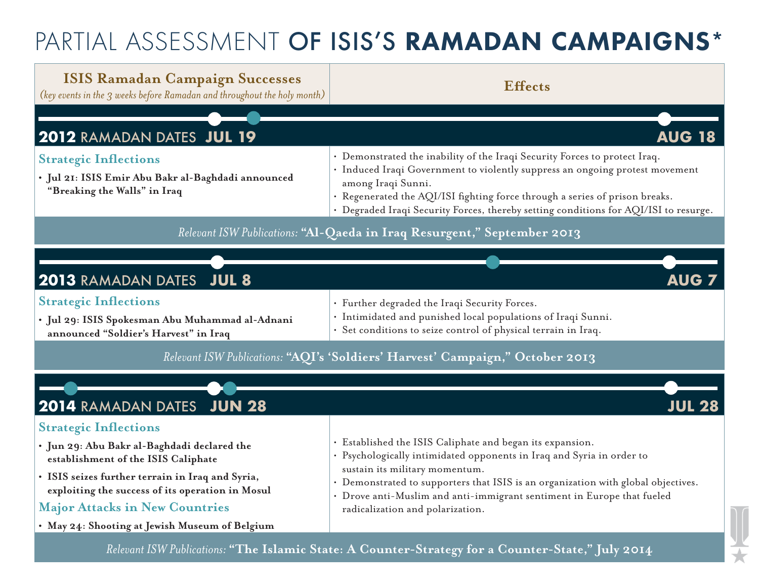# PARTIAL ASSESSMENT OF ISIS'S RAMADAN CAMPAIGNS\*

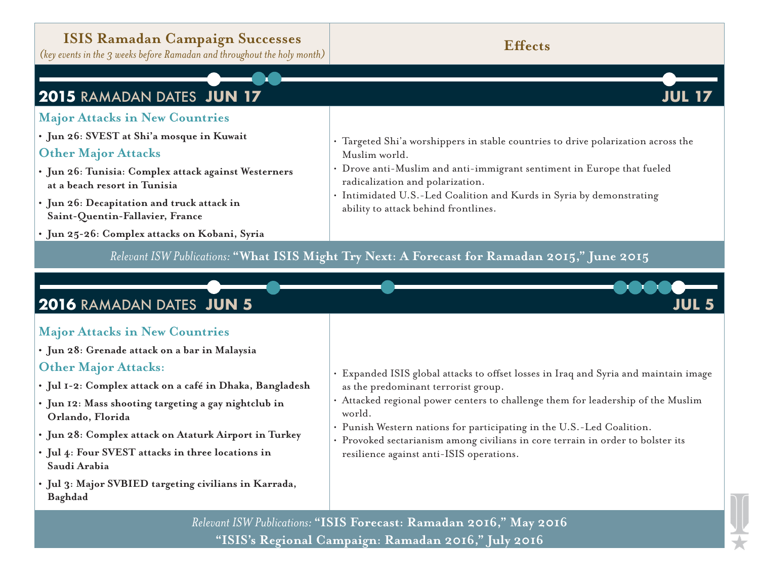## **ISIS Ramadan Campaign Successes**

*(key events in the 3 weeks before Ramadan and throughout the holy month)* **<b>Effects**